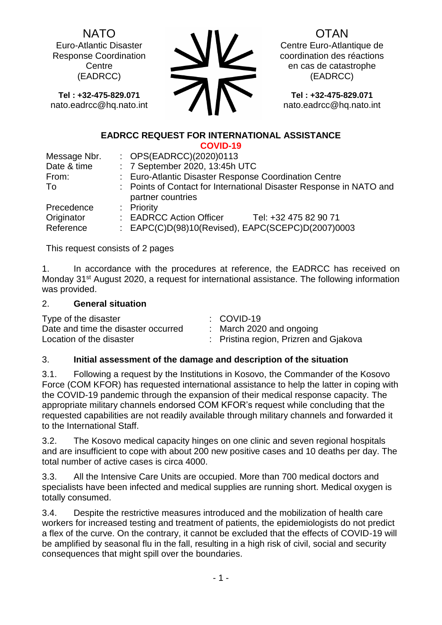NATO Euro-Atlantic Disaster

Response Coordination **Centre** (EADRCC)

**Tel : +32-475-829.071** nato.eadrcc@hq.nato.int

OTAN

Centre Euro-Atlantique de coordination des réactions en cas de catastrophe (EADRCC)

**Tel : +32-475-829.071** nato.eadrcc@hq.nato.int

#### **EADRCC REQUEST FOR INTERNATIONAL ASSISTANCE COVID-19**

|              | <u>UU VIIJ-I J</u>                                                                       |  |  |
|--------------|------------------------------------------------------------------------------------------|--|--|
| Message Nbr. | : OPS(EADRCC)(2020)0113                                                                  |  |  |
| Date & time  | : 7 September 2020, 13:45h UTC                                                           |  |  |
| From:        | : Euro-Atlantic Disaster Response Coordination Centre                                    |  |  |
| To           | : Points of Contact for International Disaster Response in NATO and<br>partner countries |  |  |
| Precedence   | : Priority                                                                               |  |  |
| Originator   | : EADRCC Action Officer<br>Tel: +32 475 82 90 71                                         |  |  |
| Reference    | : EAPC(C)D(98)10(Revised), EAPC(SCEPC)D(2007)0003                                        |  |  |

This request consists of 2 pages

1. In accordance with the procedures at reference, the EADRCC has received on Monday 31<sup>st</sup> August 2020, a request for international assistance. The following information was provided.

## 2. **General situation**

| Type of the disaster                | $\therefore$ COVID-19                  |
|-------------------------------------|----------------------------------------|
| Date and time the disaster occurred | : March 2020 and ongoing               |
| Location of the disaster            | : Pristina region, Prizren and Gjakova |

# 3. **Initial assessment of the damage and description of the situation**

3.1. Following a request by the Institutions in Kosovo, the Commander of the Kosovo Force (COM KFOR) has requested international assistance to help the latter in coping with the COVID-19 pandemic through the expansion of their medical response capacity. The appropriate military channels endorsed COM KFOR's request while concluding that the requested capabilities are not readily available through military channels and forwarded it to the International Staff.

3.2. The Kosovo medical capacity hinges on one clinic and seven regional hospitals and are insufficient to cope with about 200 new positive cases and 10 deaths per day. The total number of active cases is circa 4000.

3.3. All the Intensive Care Units are occupied. More than 700 medical doctors and specialists have been infected and medical supplies are running short. Medical oxygen is totally consumed.

3.4. Despite the restrictive measures introduced and the mobilization of health care workers for increased testing and treatment of patients, the epidemiologists do not predict a flex of the curve. On the contrary, it cannot be excluded that the effects of COVID-19 will be amplified by seasonal flu in the fall, resulting in a high risk of civil, social and security consequences that might spill over the boundaries.